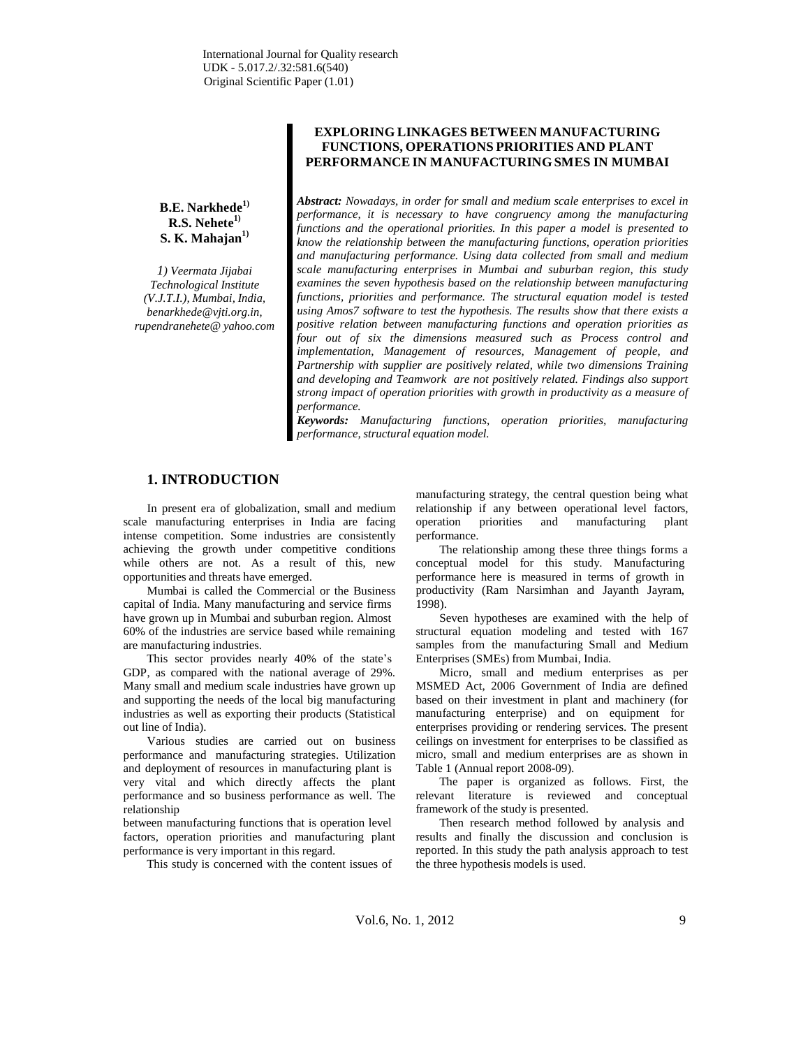**B.E. Narkhede 1) R.S. Nehete1) S. K. Mahajan 1)**

*1) Veermata Jijabai Technological Institute (V.J.T.I.), Mumbai, India[,](mailto:benarkhede@vjti.org.in) [benarkhede@vjti.org.in,](mailto:benarkhede@vjti.org.in) rupendranehete@ yahoo.com*

## **EXPLORING LINKAGES BETWEEN MANUFACTURING FUNCTIONS, OPERATIONS PRIORITIES AND PLANT PERFORMANCEIN MANUFACTURINGSMES IN MUMBAI**

*Abstract: Nowadays, in order for small and medium scale enterprises to excel in performance, it is necessary to have congruency among the manufacturing functions and the operational priorities. In this paper a model is presented to know the relationship between the manufacturing functions, operation priorities and manufacturing performance. Using data collected from small and medium scale manufacturing enterprises in Mumbai and suburban region, this study examines the seven hypothesis based on the relationship between manufacturing functions, priorities and performance. The structural equation model is tested using Amos7 software to test the hypothesis. The results show that there exists a positive relation between manufacturing functions and operation priorities as four out of six the dimensions measured such as Process control and implementation, Management of resources, Management of people, and Partnership with supplier are positively related, while two dimensions Training and developing and Teamwork are not positively related. Findings also support strong impact of operation priorities with growth in productivity as a measure of performance.*

*Keywords: Manufacturing functions, operation priorities, manufacturing performance, structural equation model.*

# **1. INTRODUCTION**

In present era of globalization, small and medium scale manufacturing enterprises in India are facing intense competition. Some industries are consistently achieving the growth under competitive conditions while others are not. As a result of this, new opportunities and threats have emerged.

Mumbai is called the Commercial or the Business capital of India. Many manufacturing and service firms have grown up in Mumbai and suburban region. Almost 60% of the industries are service based while remaining are manufacturing industries.

This sector provides nearly 40% of the state's GDP, as compared with the national average of 29%. Many small and medium scale industries have grown up and supporting the needs of the local big manufacturing industries as well as exporting their products (Statistical out line of India).

Various studies are carried out on business performance and manufacturing strategies. Utilization and deployment of resources in manufacturing plant is very vital and which directly affects the plant performance and so business performance as well. The relationship

between manufacturing functions that is operation level factors, operation priorities and manufacturing plant performance is very important in this regard.

This study is concerned with the content issues of

manufacturing strategy, the central question being what relationship if any between operational level factors, operation priorities and manufacturing plant performance.

The relationship among these three things forms a conceptual model for this study. Manufacturing performance here is measured in terms of growth in productivity (Ram Narsimhan and Jayanth Jayram, 1998).

Seven hypotheses are examined with the help of structural equation modeling and tested with 167 samples from the manufacturing Small and Medium Enterprises (SMEs) from Mumbai, India.

Micro, small and medium enterprises as per MSMED Act, 2006 Government of India are defined based on their investment in plant and machinery (for manufacturing enterprise) and on equipment for enterprises providing or rendering services. The present ceilings on investment for enterprises to be classified as micro, small and medium enterprises are as shown in Table 1 (Annual report 2008-09).

The paper is organized as follows. First, the relevant literature is reviewed and conceptual framework of the study is presented.

Then research method followed by analysis and results and finally the discussion and conclusion is reported. In this study the path analysis approach to test the three hypothesis models is used.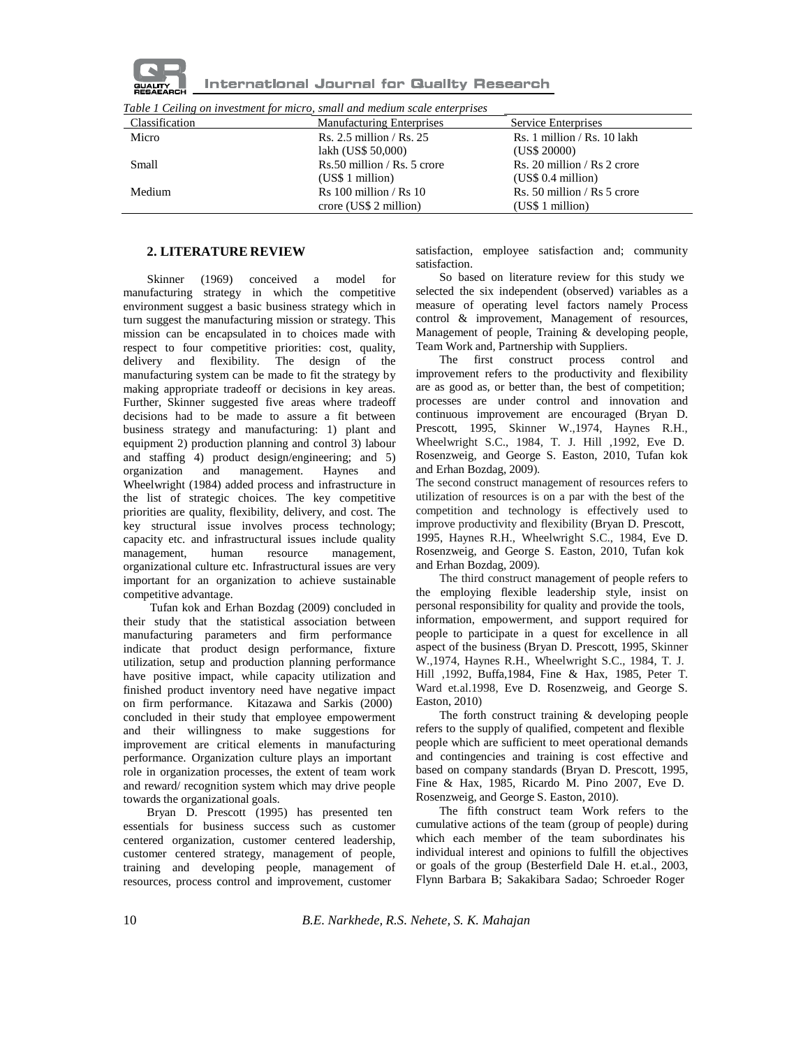

International Journal for Quality Research

| Table 1 Ceiling on investment for micro, small and medium scale enterprises |  |
|-----------------------------------------------------------------------------|--|
|-----------------------------------------------------------------------------|--|

| Classification | <b>Manufacturing Enterprises</b> | Service Enterprises             |
|----------------|----------------------------------|---------------------------------|
| Micro          | Rs. $2.5$ million / Rs. $25$     | $Rs. 1$ million / $Rs. 10$ lakh |
|                | lakh (US\$ 50,000)               | (US\$ 20000)                    |
| Small          | $Rs.50$ million / $Rs.5$ crore   | Rs. 20 million / Rs 2 crore     |
|                | (US\$ 1 million)                 | (US\$ 0.4 million)              |
| Medium         | $Rs 100$ million / $Rs 10$       | Rs. 50 million / Rs 5 crore     |
|                | crore (US\$ 2 million)           | (US\$ 1 million)                |

#### **2. LITERATURE REVIEW**

Skinner (1969) conceived a model for manufacturing strategy in which the competitive environment suggest a basic business strategy which in turn suggest the manufacturing mission or strategy. This mission can be encapsulated in to choices made with respect to four competitive priorities: cost, quality, delivery and flexibility. The design of the manufacturing system can be made to fit the strategy by making appropriate tradeoff or decisions in key areas. Further, Skinner suggested five areas where tradeoff decisions had to be made to assure a fit between business strategy and manufacturing: 1) plant and equipment 2) production planning and control 3) labour and staffing 4) product design/engineering; and 5) organization and management. Haynes and Wheelwright (1984) added process and infrastructure in the list of strategic choices. The key competitive priorities are quality, flexibility, delivery, and cost. The key structural issue involves process technology; capacity etc. and infrastructural issues include quality management, human resource management, organizational culture etc. Infrastructural issues are very important for an organization to achieve sustainable competitive advantage.

Tufan kok and Erhan Bozdag (2009) concluded in their study that the statistical association between manufacturing parameters and firm performance indicate that product design performance, fixture utilization, setup and production planning performance have positive impact, while capacity utilization and finished product inventory need have negative impact on firm performance. Kitazawa and Sarkis (2000) concluded in their study that employee empowerment and their willingness to make suggestions for improvement are critical elements in manufacturing performance. Organization culture plays an important role in organization processes, the extent of team work and reward/ recognition system which may drive people towards the organizational goals.

Bryan D. Prescott (1995) has presented ten essentials for business success such as customer centered organization, customer centered leadership, customer centered strategy, management of people, training and developing people, management of resources, process control and improvement, customer

satisfaction, employee satisfaction and; community satisfaction.

So based on literature review for this study we selected the six independent (observed) variables as a measure of operating level factors namely Process control & improvement, Management of resources, Management of people, Training & developing people, Team Work and, Partnership with Suppliers.

The first construct process control and improvement refers to the productivity and flexibility are as good as, or better than, the best of competition; processes are under control and innovation and continuous improvement are encouraged (Bryan D. Prescott, 1995, Skinner W.,1974, Haynes R.H., Wheelwright S.C., 1984, T. J. Hill ,1992, Eve D. Rosenzweig, and George S. Easton, 2010, Tufan kok and Erhan Bozdag, 2009).

The second construct management of resources refers to utilization of resources is on a par with the best of the competition and technology is effectively used to improve productivity and flexibility (Bryan D. Prescott, 1995, Haynes R.H., Wheelwright S.C., 1984, Eve D. Rosenzweig, and George S. Easton, 2010, Tufan kok and Erhan Bozdag, 2009).

The third construct management of people refers to the employing flexible leadership style, insist on personal responsibility for quality and provide the tools, information, empowerment, and support required for people to participate in a quest for excellence in all aspect of the business (Bryan D. Prescott, 1995, Skinner W.,1974, Haynes R.H., Wheelwright S.C., 1984, T. J. Hill ,1992, Buffa,1984, Fine & Hax, 1985, Peter T. Ward et.al.1998, Eve D. Rosenzweig, and George S. Easton, 2010)

The forth construct training & developing people refers to the supply of qualified, competent and flexible people which are sufficient to meet operational demands and contingencies and training is cost effective and based on company standards (Bryan D. Prescott, 1995, Fine & Hax, 1985, Ricardo M. Pino 2007, Eve D. Rosenzweig, and George S. Easton, 2010).

The fifth construct team Work refers to the cumulative actions of the team (group of people) during which each member of the team subordinates his individual interest and opinions to fulfill the objectives or goals of the group (Besterfield Dale H. et.al., 2003, Flynn Barbara B; Sakakibara Sadao; Schroeder Roger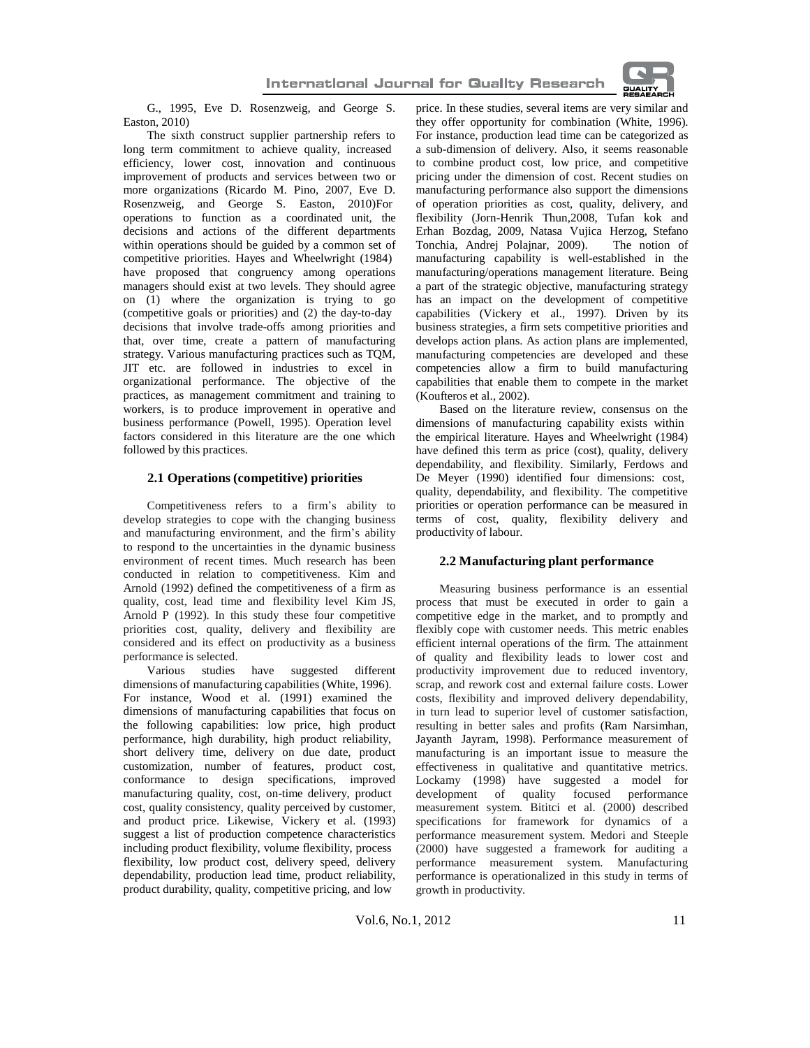

G., 1995, Eve D. Rosenzweig, and George S. Easton, 2010)

The sixth construct supplier partnership refers to long term commitment to achieve quality, increased efficiency, lower cost, innovation and continuous improvement of products and services between two or more organizations (Ricardo M. Pino, 2007, Eve D. Rosenzweig, and George S. Easton, 2010)For operations to function as a coordinated unit, the decisions and actions of the different departments within operations should be guided by a common set of competitive priorities. Hayes and Wheelwright (1984) have proposed that congruency among operations managers should exist at two levels. They should agree on (1) where the organization is trying to go (competitive goals or priorities) and (2) the day-to-day decisions that involve trade-offs among priorities and that, over time, create a pattern of manufacturing strategy. Various manufacturing practices such as TQM, JIT etc. are followed in industries to excel in organizational performance. The objective of the practices, as management commitment and training to workers, is to produce improvement in operative and business performance (Powell, 1995). Operation level factors considered in this literature are the one which followed by this practices.

#### **2.1 Operations (competitive) priorities**

Competitiveness refers to a firm's ability to develop strategies to cope with the changing business and manufacturing environment, and the firm's ability to respond to the uncertainties in the dynamic business environment of recent times. Much research has been conducted in relation to competitiveness. Kim and Arnold (1992) defined the competitiveness of a firm as quality, cost, lead time and flexibility level Kim JS, Arnold P (1992). In this study these four competitive priorities cost, quality, delivery and flexibility are considered and its effect on productivity as a business performance is selected.

Various studies have suggested different dimensions of manufacturing capabilities (White, 1996). For instance, Wood et al. (1991) examined the dimensions of manufacturing capabilities that focus on the following capabilities: low price, high product performance, high durability, high product reliability, short delivery time, delivery on due date, product customization, number of features, product cost, conformance to design specifications, improved manufacturing quality, cost, on-time delivery, product cost, quality consistency, quality perceived by customer, and product price. Likewise, Vickery et al. (1993) suggest a list of production competence characteristics including product flexibility, volume flexibility, process flexibility, low product cost, delivery speed, delivery dependability, production lead time, product reliability, product durability, quality, competitive pricing, and low

price. In these studies, several items are very similar and they offer opportunity for combination (White, 1996). For instance, production lead time can be categorized as a sub-dimension of delivery. Also, it seems reasonable to combine product cost, low price, and competitive pricing under the dimension of cost. Recent studies on manufacturing performance also support the dimensions of operation priorities as cost, quality, delivery, and flexibility (Jorn-Henrik Thun,2008, Tufan kok and Erhan Bozdag, 2009, Natasa Vujica Herzog, Stefano Tonchia, Andrej Polajnar, 2009). The notion of manufacturing capability is well-established in the manufacturing/operations management literature. Being a part of the strategic objective, manufacturing strategy has an impact on the development of competitive capabilities (Vickery et al., 1997). Driven by its business strategies, a firm sets competitive priorities and develops action plans. As action plans are implemented, manufacturing competencies are developed and these competencies allow a firm to build manufacturing capabilities that enable them to compete in the market (Koufteros et al., 2002).

Based on the literature review, consensus on the dimensions of manufacturing capability exists within the empirical literature. Hayes and Wheelwright (1984) have defined this term as price (cost), quality, delivery dependability, and flexibility. Similarly, Ferdows and De Meyer (1990) identified four dimensions: cost, quality, dependability, and flexibility. The competitive priorities or operation performance can be measured in terms of cost, quality, flexibility delivery and productivity of labour.

#### **2.2 Manufacturing plant performance**

Measuring business performance is an essential process that must be executed in order to gain a competitive edge in the market, and to promptly and flexibly cope with customer needs. This metric enables efficient internal operations of the firm. The attainment of quality and flexibility leads to lower cost and productivity improvement due to reduced inventory, scrap, and rework cost and external failure costs. Lower costs, flexibility and improved delivery dependability, in turn lead to superior level of customer satisfaction, resulting in better sales and profits (Ram Narsimhan, Jayanth Jayram, 1998). Performance measurement of manufacturing is an important issue to measure the effectiveness in qualitative and quantitative metrics. Lockamy (1998) have suggested a model for development of quality focused performance measurement system. Bititci et al. (2000) described specifications for framework for dynamics of a performance measurement system. Medori and Steeple (2000) have suggested a framework for auditing a performance measurement system. Manufacturing performance is operationalized in this study in terms of growth in productivity.

Vol.6, No.1, 2012 11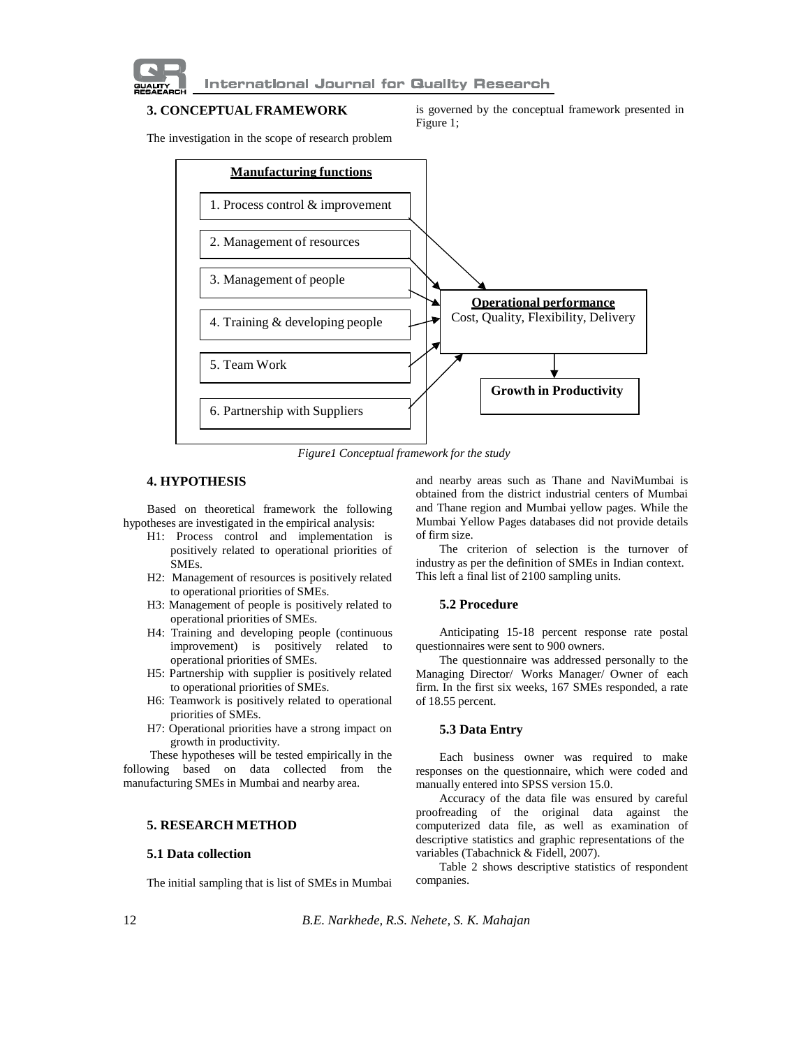

## **3. CONCEPTUAL FRAMEWORK**

is governed by the conceptual framework presented in Figure 1;

The investigation in the scope of research problem



*Figure1 Conceptual framework for the study*

## **4. HYPOTHESIS**

Based on theoretical framework the following hypotheses are investigated in the empirical analysis:

- H1: Process control and implementation is positively related to operational priorities of SMEs.
- H2: Management of resources is positively related to operational priorities of SMEs.
- H3: Management of people is positively related to operational priorities of SMEs.
- H4: Training and developing people (continuous improvement) is positively related to operational priorities of SMEs.
- H5: Partnership with supplier is positively related to operational priorities of SMEs.
- H6: Teamwork is positively related to operational priorities of SMEs.
- H7: Operational priorities have a strong impact on growth in productivity.

These hypotheses will be tested empirically in the following based on data collected from the manufacturing SMEs in Mumbai and nearby area.

## **5. RESEARCH METHOD**

#### **5.1 Data collection**

The initial sampling that is list of SMEs in Mumbai

and nearby areas such as Thane and NaviMumbai is obtained from the district industrial centers of Mumbai and Thane region and Mumbai yellow pages. While the Mumbai Yellow Pages databases did not provide details of firm size.

The criterion of selection is the turnover of industry as per the definition of SMEs in Indian context. This left a final list of 2100 sampling units.

#### **5.2 Procedure**

Anticipating 15-18 percent response rate postal questionnaires were sent to 900 owners.

The questionnaire was addressed personally to the Managing Director/ Works Manager/ Owner of each firm. In the first six weeks, 167 SMEs responded, a rate of 18.55 percent.

#### **5.3 Data Entry**

Each business owner was required to make responses on the questionnaire, which were coded and manually entered into SPSS version 15.0.

Accuracy of the data file was ensured by careful proofreading of the original data against the computerized data file, as well as examination of descriptive statistics and graphic representations of the variables (Tabachnick & Fidell, 2007).

Table 2 shows descriptive statistics of respondent companies.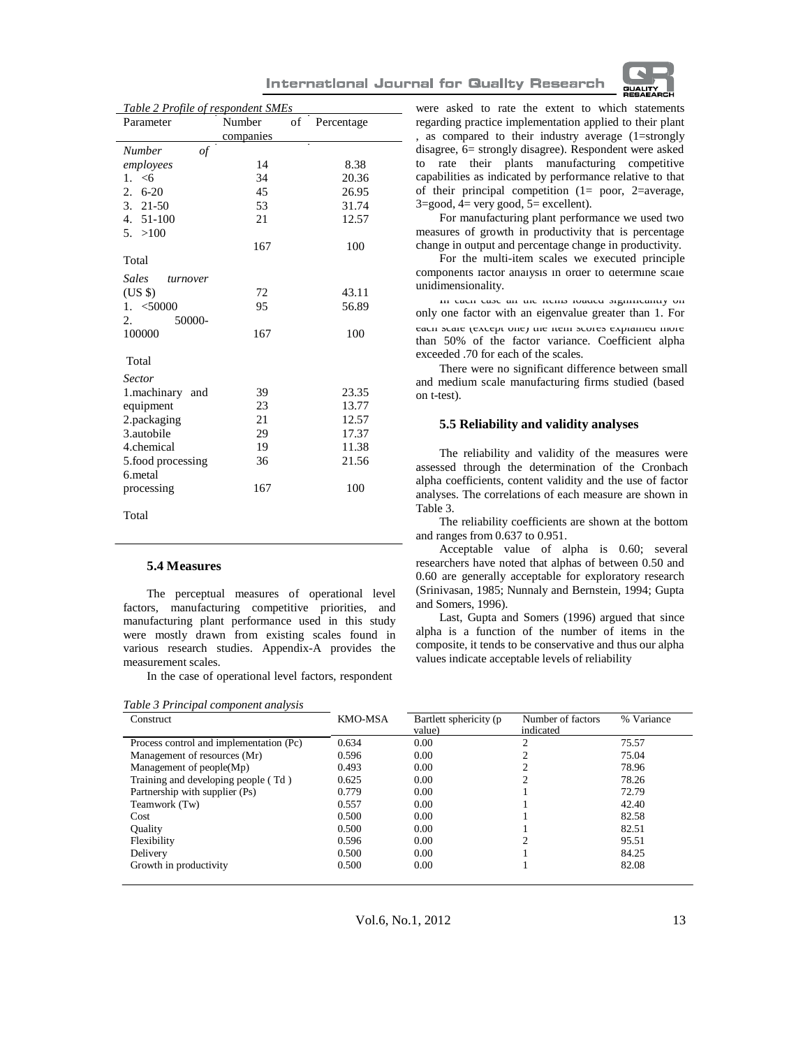

| <b>International Journal for Quality Research</b> |  |  |  |  |
|---------------------------------------------------|--|--|--|--|
|---------------------------------------------------|--|--|--|--|

| Table 2 Profile of respondent SMEs          |           |    |            |  |  |  |  |
|---------------------------------------------|-----------|----|------------|--|--|--|--|
| Parameter                                   | Number    | of | Percentage |  |  |  |  |
|                                             | companies |    |            |  |  |  |  |
| <b>Number</b><br>$\mathfrak{o}\mathfrak{f}$ |           |    |            |  |  |  |  |
| employees                                   | 14        |    | 8.38       |  |  |  |  |
| 1. $< 6$                                    | 34        |    | 20.36      |  |  |  |  |
| $6 - 20$<br>2.                              | 45        |    | 26.95      |  |  |  |  |
| $3.21-50$                                   | 53        |    | 31.74      |  |  |  |  |
| 4. 51-100                                   | 21        |    | 12.57      |  |  |  |  |
| 5. > 100                                    |           |    |            |  |  |  |  |
|                                             | 167       |    | 100        |  |  |  |  |
| Total                                       |           |    |            |  |  |  |  |
| Sales<br>turnover                           |           |    |            |  |  |  |  |
| (US \$)                                     | 72        |    | 43.11      |  |  |  |  |
| $1. \leq 50000$                             | 95        |    | 56.89      |  |  |  |  |
| 50000-<br>2.                                |           |    |            |  |  |  |  |
| 100000                                      | 167       |    | 100        |  |  |  |  |
| Total                                       |           |    |            |  |  |  |  |
| <b>Sector</b>                               |           |    |            |  |  |  |  |
| 1.machinary<br>and                          | 39        |    | 23.35      |  |  |  |  |
| equipment                                   | 23        |    | 13.77      |  |  |  |  |
| 2.packaging                                 | 21        |    | 12.57      |  |  |  |  |
| 3.autobile                                  | 29        |    | 17.37      |  |  |  |  |
| 4.chemical                                  | 19        |    | 11.38      |  |  |  |  |
| 5.food processing                           | 36        |    | 21.56      |  |  |  |  |
| 6.metal                                     |           |    |            |  |  |  |  |
| processing                                  | 167       |    | 100        |  |  |  |  |
| Total                                       |           |    |            |  |  |  |  |

## **5.4 Measures**

The perceptual measures of operational level factors, manufacturing competitive priorities, and manufacturing plant performance used in this study were mostly drawn from existing scales found in various research studies. Appendix-A provides the measurement scales.

In the case of operational level factors, respondent

*Table 3 Principal component analysis*

were asked to rate the extent to which statements regarding practice implementation applied to their plant , as compared to their industry average (1=strongly disagree, 6= strongly disagree). Respondent were asked to rate their plants manufacturing competitive capabilities as indicated by performance relative to that of their principal competition (1= poor, 2=average,  $3 = \text{good}, 4 = \text{very good}, 5 = \text{excellent}.$ 

For manufacturing plant performance we used two measures of growth in productivity that is percentage change in output and percentage change in productivity.

For the multi-item scales we executed principle components factor analysis in order to determine scale unidimensionality.

In each case all the items loaded significantly on only one factor with an eigenvalue greater than 1. For each scale (except one) the nem scores explained more than 50% of the factor variance. Coefficient alpha exceeded .70 for each of the scales.

There were no significant difference between small and medium scale manufacturing firms studied (based on t-test).

#### **5.5 Reliability and validity analyses**

The reliability and validity of the measures were assessed through the determination of the Cronbach alpha coefficients, content validity and the use of factor analyses. The correlations of each measure are shown in Table 3.

The reliability coefficients are shown at the bottom and ranges from 0.637 to 0.951.

Acceptable value of alpha is 0.60; several researchers have noted that alphas of between 0.50 and 0.60 are generally acceptable for exploratory research (Srinivasan, 1985; Nunnaly and Bernstein, 1994; Gupta and Somers, 1996).

Last, Gupta and Somers (1996) argued that since alpha is a function of the number of items in the composite, it tends to be conservative and thus our alpha values indicate acceptable levels of reliability

| <b>Construct</b>                        | <b>KMO-MSA</b> | Bartlett sphericity (p<br>value) | Number of factors<br>indicated | % Variance |
|-----------------------------------------|----------------|----------------------------------|--------------------------------|------------|
| Process control and implementation (Pc) | 0.634          | 0.00                             | ◠                              | 75.57      |
| Management of resources (Mr)            | 0.596          | 0.00                             |                                | 75.04      |
| Management of people(Mp)                | 0.493          | 0.00                             |                                | 78.96      |
| Training and developing people (Td)     | 0.625          | 0.00                             |                                | 78.26      |
| Partnership with supplier (Ps)          | 0.779          | 0.00                             |                                | 72.79      |
| Teamwork (Tw)                           | 0.557          | 0.00                             |                                | 42.40      |
| Cost                                    | 0.500          | 0.00                             |                                | 82.58      |
| <b>Ouality</b>                          | 0.500          | 0.00                             |                                | 82.51      |
| Flexibility                             | 0.596          | 0.00                             |                                | 95.51      |
| Delivery                                | 0.500          | 0.00                             |                                | 84.25      |
| Growth in productivity                  | 0.500          | 0.00                             |                                | 82.08      |

Vol.6, No.1, 2012 13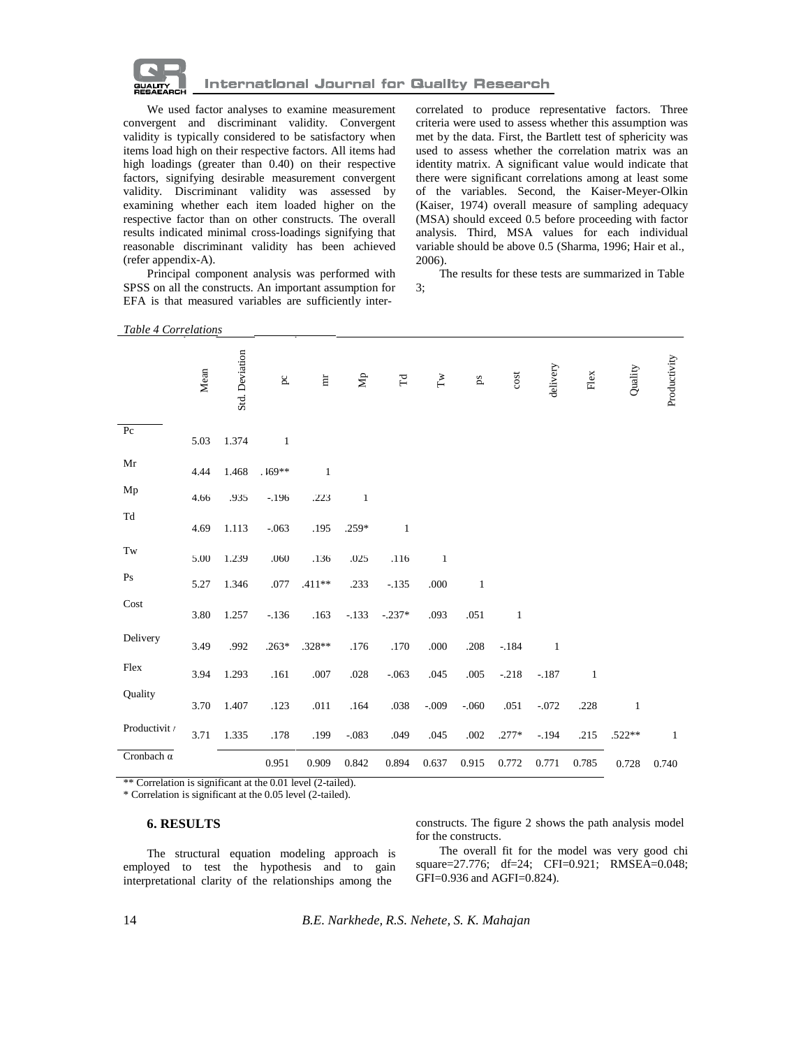

We used factor analyses to examine measurement convergent and discriminant validity. Convergent validity is typically considered to be satisfactory when items load high on their respective factors. All items had high loadings (greater than 0.40) on their respective factors, signifying desirable measurement convergent validity. Discriminant validity was assessed by examining whether each item loaded higher on the respective factor than on other constructs. The overall results indicated minimal cross-loadings signifying that reasonable discriminant validity has been achieved (refer appendix-A).

Principal component analysis was performed with SPSS on all the constructs. An important assumption for EFA is that measured variables are sufficiently intercorrelated to produce representative factors. Three criteria were used to assess whether this assumption was met by the data. First, the Bartlett test of sphericity was used to assess whether the correlation matrix was an identity matrix. A significant value would indicate that there were significant correlations among at least some of the variables. Second, the Kaiser-Meyer-Olkin (Kaiser, 1974) overall measure of sampling adequacy (MSA) should exceed 0.5 before proceeding with factor analysis. Third, MSA values for each individual variable should be above 0.5 (Sharma, 1996; Hair et al., 2006).

The results for these tests are summarized in Table 3;

| Table 4 Correlations |
|----------------------|
|                      |

|                   | Mean | Std. Deviation | $\mathbf{p} \mathbf{c}$ | $\rm{m}$     | $\mathbf{A} \mathbf{p}$ | $\Gamma\!d$  | $\Gamma \text{w}$ | $\mathbf{p}$ | cost         | delivery     | ${\rm Hex}$  | Quality      | Productivity |
|-------------------|------|----------------|-------------------------|--------------|-------------------------|--------------|-------------------|--------------|--------------|--------------|--------------|--------------|--------------|
| P <sub>c</sub>    | 5.03 | 1.374          | $\mathbf{1}$            |              |                         |              |                   |              |              |              |              |              |              |
| Mr                | 4.44 | 1.468          | $.169**$                | $\mathbf{1}$ |                         |              |                   |              |              |              |              |              |              |
| Mp                | 4.66 | .935           | $-196$                  | .223         | $\mathbf{1}$            |              |                   |              |              |              |              |              |              |
| Td                | 4.69 | 1.113          | $-.063$                 | .195         | $.259*$                 | $\mathbf{1}$ |                   |              |              |              |              |              |              |
| Tw                | 5.00 | 1.239          | .060                    | .136         | .025                    | .116         | $\bf{l}$          |              |              |              |              |              |              |
| Ps                | 5.27 | 1.346          | .077                    | .411**       | .233                    | $-.135$      | .000              | $\mathbf{1}$ |              |              |              |              |              |
| Cost              | 3.80 | 1.257          | $-136$                  | .163         | $-133$                  | $-.237*$     | .093              | .051         | $\mathbf{1}$ |              |              |              |              |
| Delivery          | 3.49 | .992           | $.263*$                 | $.328**$     | .176                    | .170         | .000              | .208         | $-.184$      | $\mathbf{1}$ |              |              |              |
| Flex              | 3.94 | 1.293          | .161                    | .007         | .028                    | $-.063$      | .045              | .005         | $-.218$      | $-.187$      | $\mathbf{1}$ |              |              |
| Quality           | 3.70 | 1.407          | .123                    | .011         | .164                    | .038         | $-.009$           | $-.060$      | .051         | $-.072$      | .228         | $\mathbf{1}$ |              |
| Productivit /     | 3.71 | 1.335          | .178                    | .199         | $-.083$                 | .049         | .045              | .002         | $.277*$      | $-194$       | .215         | $.522**$     | $\mathbf{1}$ |
| Cronbach $\alpha$ |      |                | 0.951                   | 0.909        | 0.842                   | 0.894        | 0.637             | 0.915        | 0.772        | 0.771        | 0.785        | 0.728        | 0.740        |

\*\* Correlation is significant at the 0.01 level (2-tailed).

\* Correlation is significant at the 0.05 level (2-tailed).

#### **6. RESULTS**

The structural equation modeling approach is employed to test the hypothesis and to gain interpretational clarity of the relationships among the

constructs. The figure 2 shows the path analysis model for the constructs.

The overall fit for the model was very good chi square=27.776; df=24; CFI=0.921; RMSEA=0.048; GFI=0.936 and AGFI=0.824).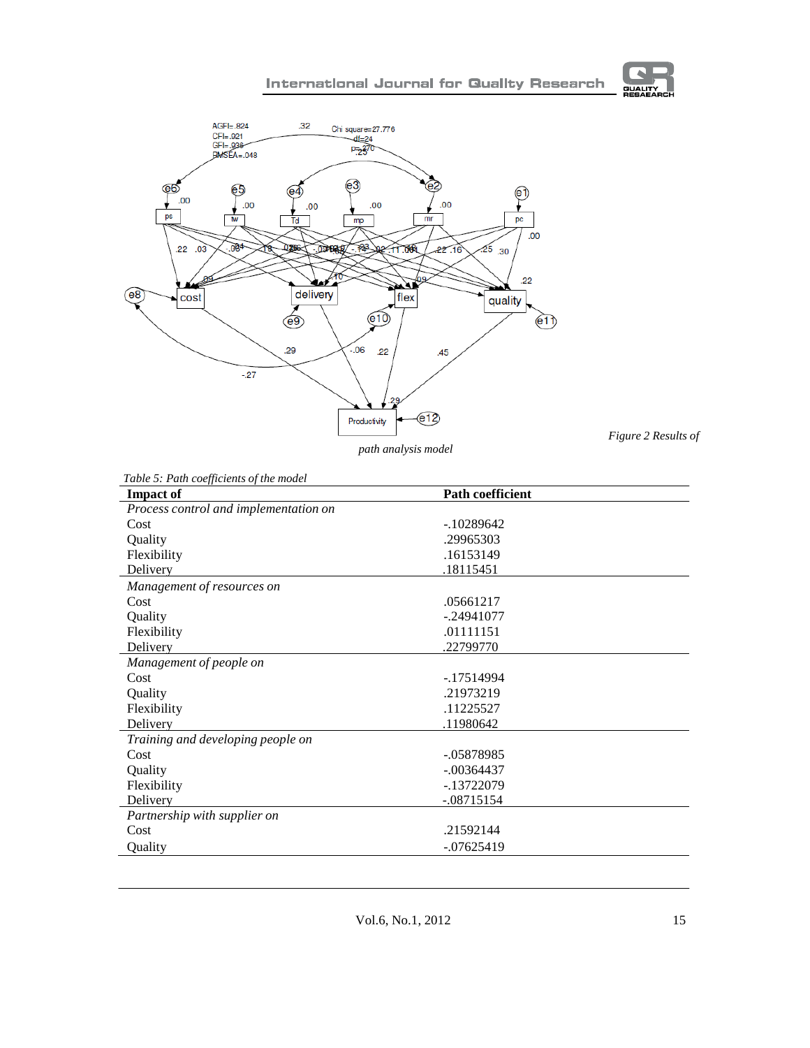

*path analysis model*

*Figure 2 Results of*

 $\overline{\phantom{0}}$ 

**GUALITY** 

| <b>Impact of</b>                      | <b>Path coefficient</b> |  |
|---------------------------------------|-------------------------|--|
| Process control and implementation on |                         |  |
| Cost                                  | $-10289642$             |  |
| Quality                               | .29965303               |  |
| Flexibility                           | .16153149               |  |
| Delivery                              | .18115451               |  |
| Management of resources on            |                         |  |
| Cost                                  | .05661217               |  |
| Quality                               | $-.24941077$            |  |
| Flexibility                           | .01111151               |  |
| Delivery                              | .22799770               |  |
| Management of people on               |                         |  |
| Cost                                  | $-17514994$             |  |
| Quality                               | .21973219               |  |
| Flexibility                           | .11225527               |  |
| Delivery                              | .11980642               |  |
| Training and developing people on     |                         |  |
| Cost                                  | $-.05878985$            |  |
| Quality                               | $-.00364437$            |  |
| Flexibility                           | -.13722079              |  |
| Delivery                              | $-.08715154$            |  |
| Partnership with supplier on          |                         |  |
| Cost                                  | .21592144               |  |
| Quality                               | $-.07625419$            |  |

 $\overline{\phantom{a}}$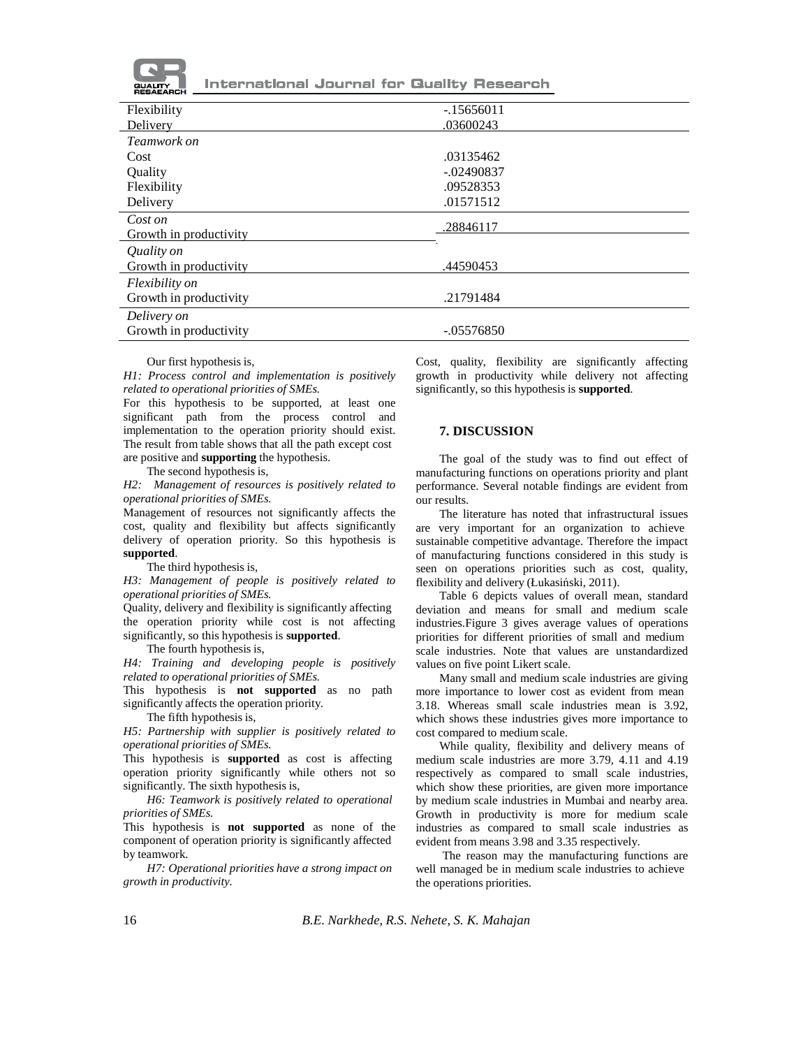

| Flexibility            | $-15656011$  |
|------------------------|--------------|
| Delivery               | .03600243    |
| Teamwork on            |              |
| Cost                   | .03135462    |
| Quality                | $-.02490837$ |
| Flexibility            | .09528353    |
| Delivery               | .01571512    |
| Cost on                |              |
| Growth in productivity | .28846117    |
| Quality on             |              |
| Growth in productivity | .44590453    |
| <i>Flexibility on</i>  |              |
| Growth in productivity | .21791484    |
| Delivery on            |              |
| Growth in productivity | $-.05576850$ |
|                        |              |

Our first hypothesis is,

*H1: Process control and implementation is positively related to operational priorities of SMEs.*

For this hypothesis to be supported, at least one significant path from the process control and implementation to the operation priority should exist. The result from table shows that all the path except cost are positive and **supporting** the hypothesis.

The second hypothesis is,

*H2: Management of resources is positively related to operational priorities of SMEs.*

Management of resources not significantly affects the cost, quality and flexibility but affects significantly delivery of operation priority. So this hypothesis is **supported**.

The third hypothesis is,

*H3: Management of people is positively related to operational priorities of SMEs.*

Quality, delivery and flexibility is significantly affecting the operation priority while cost is not affecting significantly, so this hypothesis is **supported**.

The fourth hypothesis is,

*H4: Training and developing people is positively related to operational priorities of SMEs.*

This hypothesis is **not supported** as no path significantly affects the operation priority.

The fifth hypothesis is,

*H5: Partnership with supplier is positively related to operational priorities of SMEs.*

This hypothesis is **supported** as cost is affecting operation priority significantly while others not so significantly. The sixth hypothesis is,

*H6: Teamwork is positively related to operational priorities of SMEs.*

This hypothesis is **not supported** as none of the component of operation priority is significantly affected by teamwork.

*H7: Operational priorities have a strong impact on growth in productivity.*

Cost, quality, flexibility are significantly affecting growth in productivity while delivery not affecting significantly, so this hypothesis is **supported**.

#### **7. DISCUSSION**

The goal of the study was to find out effect of manufacturing functions on operations priority and plant performance. Several notable findings are evident from our results.

The literature has noted that infrastructural issues are very important for an organization to achieve sustainable competitive advantage. Therefore the impact of manufacturing functions considered in this study is seen on operations priorities such as cost, quality, flexibility and delivery (Łukasiński, 2011).

Table 6 depicts values of overall mean, standard deviation and means for small and medium scale industries.Figure 3 gives average values of operations priorities for different priorities of small and medium scale industries. Note that values are unstandardized values on five point Likert scale.

Many small and medium scale industries are giving more importance to lower cost as evident from mean 3.18. Whereas small scale industries mean is 3.92, which shows these industries gives more importance to cost compared to medium scale.

While quality, flexibility and delivery means of medium scale industries are more 3.79, 4.11 and 4.19 respectively as compared to small scale industries, which show these priorities, are given more importance by medium scale industries in Mumbai and nearby area. Growth in productivity is more for medium scale industries as compared to small scale industries as evident from means 3.98 and 3.35 respectively.

The reason may the manufacturing functions are well managed be in medium scale industries to achieve the operations priorities.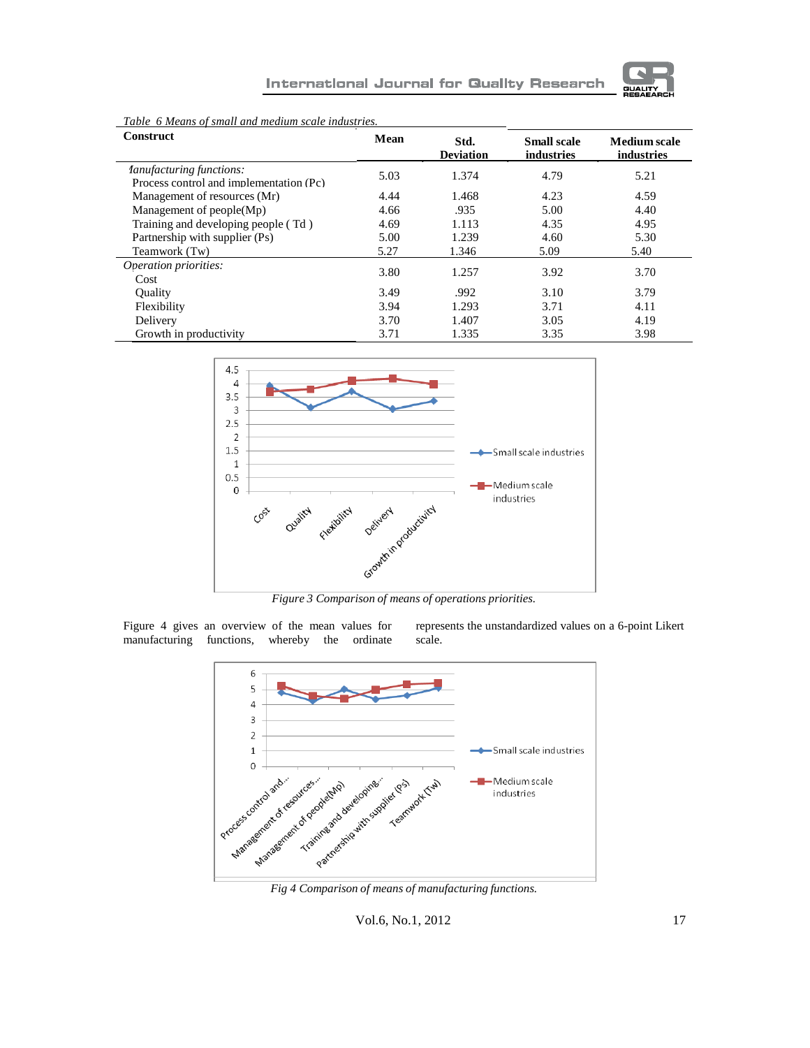

| Twore of means of shade and meaning searc mansinios.                       |      |                          |                                  |                                   |
|----------------------------------------------------------------------------|------|--------------------------|----------------------------------|-----------------------------------|
| <b>Construct</b>                                                           | Mean | Std.<br><b>Deviation</b> | <b>Small scale</b><br>industries | <b>Medium</b> scale<br>industries |
| <i>lanufacturing functions:</i><br>Process control and implementation (Pc) | 5.03 | 1.374                    | 4.79                             | 5.21                              |
| Management of resources (Mr)                                               | 4.44 | 1.468                    | 4.23                             | 4.59                              |
| Management of $people(Mp)$                                                 | 4.66 | .935                     | 5.00                             | 4.40                              |
| Training and developing people (Td)                                        | 4.69 | 1.113                    | 4.35                             | 4.95                              |
| Partnership with supplier (Ps)                                             | 5.00 | 1.239                    | 4.60                             | 5.30                              |
| Teamwork (Tw)                                                              | 5.27 | 1.346                    | 5.09                             | 5.40                              |
| Operation priorities:                                                      | 3.80 | 1.257                    | 3.92                             | 3.70                              |
| Cost                                                                       |      |                          |                                  |                                   |
| <b>Ouality</b>                                                             | 3.49 | .992                     | 3.10                             | 3.79                              |
| Flexibility                                                                | 3.94 | 1.293                    | 3.71                             | 4.11                              |
| Delivery                                                                   | 3.70 | 1.407                    | 3.05                             | 4.19                              |
| Growth in productivity                                                     | 3.71 | 1.335                    | 3.35                             | 3.98                              |

*Table 6 Means of small and medium scale industries.* 



*Figure 3 Comparison of means of operations priorities.*

Figure 4 gives an overview of the mean values for manufacturing functions, whereby the ordinate manufacturing functions, whereby the ordinate represents the unstandardized values on a 6-point Likert scale.



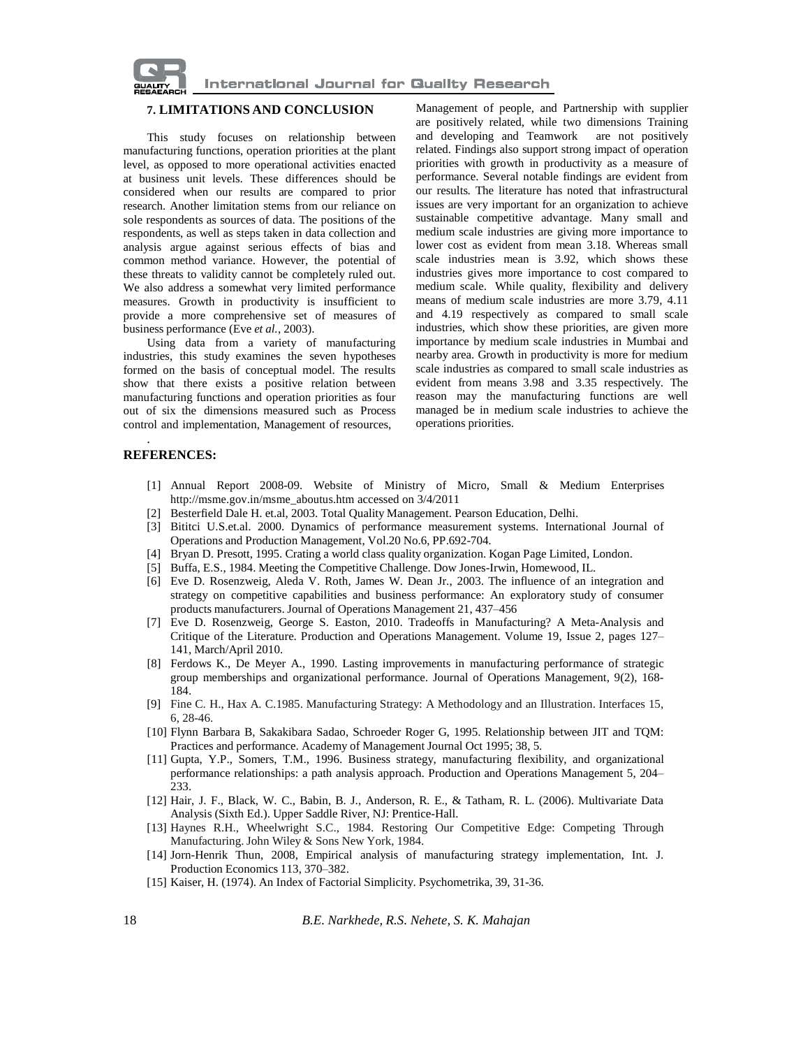

#### **7. LIMITATIONS AND CONCLUSION**

This study focuses on relationship between manufacturing functions, operation priorities at the plant level, as opposed to more operational activities enacted at business unit levels. These differences should be considered when our results are compared to prior research. Another limitation stems from our reliance on sole respondents as sources of data. The positions of the respondents, as well as steps taken in data collection and analysis argue against serious effects of bias and common method variance. However, the potential of these threats to validity cannot be completely ruled out. We also address a somewhat very limited performance measures. Growth in productivity is insufficient to provide a more comprehensive set of measures of business performance (Eve *et al.*, 2003).

Using data from a variety of manufacturing industries, this study examines the seven hypotheses formed on the basis of conceptual model. The results show that there exists a positive relation between manufacturing functions and operation priorities as four out of six the dimensions measured such as Process control and implementation, Management of resources,

Management of people, and Partnership with supplier are positively related, while two dimensions Training and developing and Teamwork are not positively related. Findings also support strong impact of operation priorities with growth in productivity as a measure of performance. Several notable findings are evident from our results. The literature has noted that infrastructural issues are very important for an organization to achieve sustainable competitive advantage. Many small and medium scale industries are giving more importance to lower cost as evident from mean 3.18. Whereas small scale industries mean is 3.92, which shows these industries gives more importance to cost compared to medium scale. While quality, flexibility and delivery means of medium scale industries are more 3.79, 4.11 and 4.19 respectively as compared to small scale industries, which show these priorities, are given more importance by medium scale industries in Mumbai and nearby area. Growth in productivity is more for medium scale industries as compared to small scale industries as evident from means 3.98 and 3.35 respectively. The reason may the manufacturing functions are well managed be in medium scale industries to achieve the operations priorities.

## **REFERENCES:**

.

- [1] Annual Report 2008-09. Website of Ministry of Micro, Small & Medium Enterprise[s](http://msme.gov.in/msme_aboutus.htm) [http://msme.gov.in/msme\\_aboutus.htm](http://msme.gov.in/msme_aboutus.htm) accessed on 3/4/2011
- [2] Besterfield Dale H. et.al, 2003. Total Quality Management. Pearson Education, Delhi.
- [3] Bititci U.S.et.al. 2000. Dynamics of performance measurement systems. International Journal of Operations and Production Management, Vol.20 No.6, PP.692-704.
- [4] Bryan D. Presott, 1995. Crating a world class quality organization. Kogan Page Limited, London.
- [5] Buffa, E.S., 1984. Meeting the Competitive Challenge. Dow Jones-Irwin, Homewood, IL.
- [6] Eve D. Rosenzweig, Aleda V. Roth, James W. Dean Jr., 2003. The influence of an integration and strategy on competitive capabilities and business performance: An exploratory study of consumer products manufacturers. Journal of Operations Management 21, 437–456
- [7] Eve D. Rosenzweig, George S. Easton, 2010. Tradeoffs in Manufacturing? A Meta-Analysis and Critique of the Literature. Production and Operations Management. Volume 19, Issue 2, pages 127– 141, March/April 2010.
- [8] Ferdows K., De Meyer A., 1990. Lasting improvements in manufacturing performance of strategic group memberships and organizational performance. Journal of Operations Management, 9(2), 168- 184.
- [9] Fine C. H., Hax A. C.1985. Manufacturing Strategy: A Methodology and an Illustration. Interfaces 15, 6, 28-46.
- [10] Flynn Barbara B, Sakakibara Sadao, Schroeder Roger G, 1995. Relationship between JIT and TQM: Practices and performance. Academy of Management Journal Oct 1995; 38, 5.
- [11] Gupta, Y.P., Somers, T.M., 1996. Business strategy, manufacturing flexibility, and organizational performance relationships: a path analysis approach. Production and Operations Management 5, 204– 233.
- [12] Hair, J. F., Black, W. C., Babin, B. J., Anderson, R. E., & Tatham, R. L. (2006). Multivariate Data Analysis (Sixth Ed.). Upper Saddle River, NJ: Prentice-Hall.
- [13] Haynes R.H., Wheelwright S.C., 1984. Restoring Our Competitive Edge: Competing Through Manufacturing. John Wiley & Sons New York, 1984.
- [14] Jorn-Henrik Thun, 2008, Empirical analysis of manufacturing strategy implementation, Int. J. Production Economics 113, 370–382.
- [15] Kaiser, H. (1974). An Index of Factorial Simplicity. Psychometrika, 39, 31-36.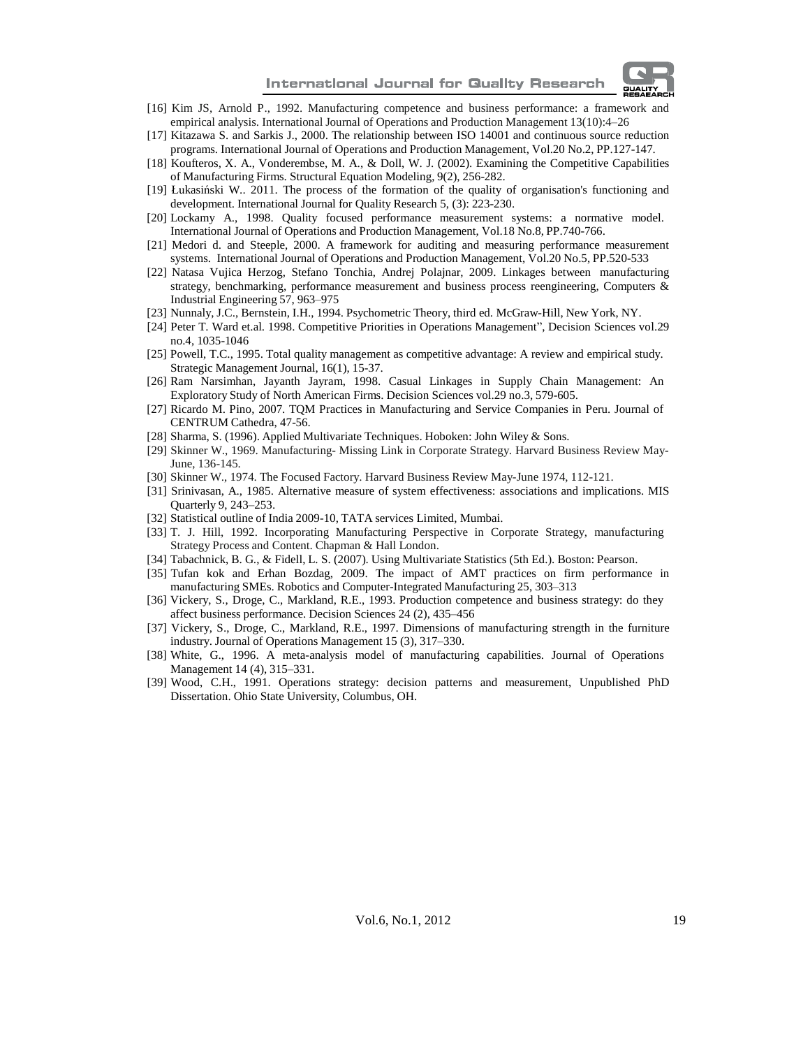

- [16] Kim JS, Arnold P., 1992. Manufacturing competence and business performance: a framework and empirical analysis. International Journal of Operations and Production Management 13(10):4–26
- [17] Kitazawa S. and Sarkis J., 2000. The relationship between ISO 14001 and continuous source reduction programs. International Journal of Operations and Production Management, Vol.20 No.2, PP.127-147.
- [18] Koufteros, X. A., Vonderembse, M. A., & Doll, W. J. (2002). Examining the Competitive Capabilities of Manufacturing Firms. Structural Equation Modeling, 9(2), 256-282.
- [19] Łukasiński W.. 2011. The process of the formation of the quality of organisation's functioning and development. International Journal for Quality Research 5, (3): 223-230.
- [20] Lockamy A., 1998. Quality focused performance measurement systems: a normative model. International Journal of Operations and Production Management, Vol.18 No.8, PP.740-766.
- [21] Medori d. and Steeple, 2000. A framework for auditing and measuring performance measurement systems. International Journal of Operations and Production Management, Vol.20 No.5, PP.520-533
- [22] Natasa Vujica Herzog, Stefano Tonchia, Andrej Polajnar, 2009. Linkages between manufacturing strategy, benchmarking, performance measurement and business process reengineering, Computers & Industrial Engineering 57, 963–975
- [23] Nunnaly, J.C., Bernstein, I.H., 1994. Psychometric Theory, third ed. McGraw-Hill, New York, NY.
- [24] Peter T. Ward et.al. 1998. Competitive Priorities in Operations Management", Decision Sciences vol.29 no.4, 1035-1046
- [25] Powell, T.C., 1995. Total quality management as competitive advantage: A review and empirical study. Strategic Management Journal, 16(1), 15-37.
- [26] Ram Narsimhan, Jayanth Jayram, 1998. Casual Linkages in Supply Chain Management: An Exploratory Study of North American Firms. Decision Sciences vol.29 no.3, 579-605.
- [27] Ricardo M. Pino, 2007. TQM Practices in Manufacturing and Service Companies in Peru. Journal of CENTRUM Cathedra, 47-56.
- [28] Sharma, S. (1996). Applied Multivariate Techniques. Hoboken: John Wiley & Sons.
- [29] Skinner W., 1969. Manufacturing- Missing Link in Corporate Strategy. Harvard Business Review May-June, 136-145.
- [30] Skinner W., 1974. The Focused Factory. Harvard Business Review May-June 1974, 112-121.
- [31] Srinivasan, A., 1985. Alternative measure of system effectiveness: associations and implications. MIS Quarterly 9, 243–253.
- [32] Statistical outline of India 2009-10, TATA services Limited, Mumbai.
- [33] T. J. Hill, 1992. Incorporating Manufacturing Perspective in Corporate Strategy, manufacturing Strategy Process and Content. Chapman & Hall London.
- [34] Tabachnick, B. G., & Fidell, L. S. (2007). Using Multivariate Statistics (5th Ed.). Boston: Pearson.
- [35] Tufan kok and Erhan Bozdag, 2009. The impact of AMT practices on firm performance in manufacturing SMEs. Robotics and Computer-Integrated Manufacturing 25, 303–313
- [36] Vickery, S., Droge, C., Markland, R.E., 1993. Production competence and business strategy: do they affect business performance. Decision Sciences 24 (2), 435–456
- [37] Vickery, S., Droge, C., Markland, R.E., 1997. Dimensions of manufacturing strength in the furniture industry. Journal of Operations Management 15 (3), 317–330.
- [38] White, G., 1996. A meta-analysis model of manufacturing capabilities. Journal of Operations Management 14 (4), 315–331.
- [39] Wood, C.H., 1991. Operations strategy: decision patterns and measurement, Unpublished PhD Dissertation. Ohio State University, Columbus, OH.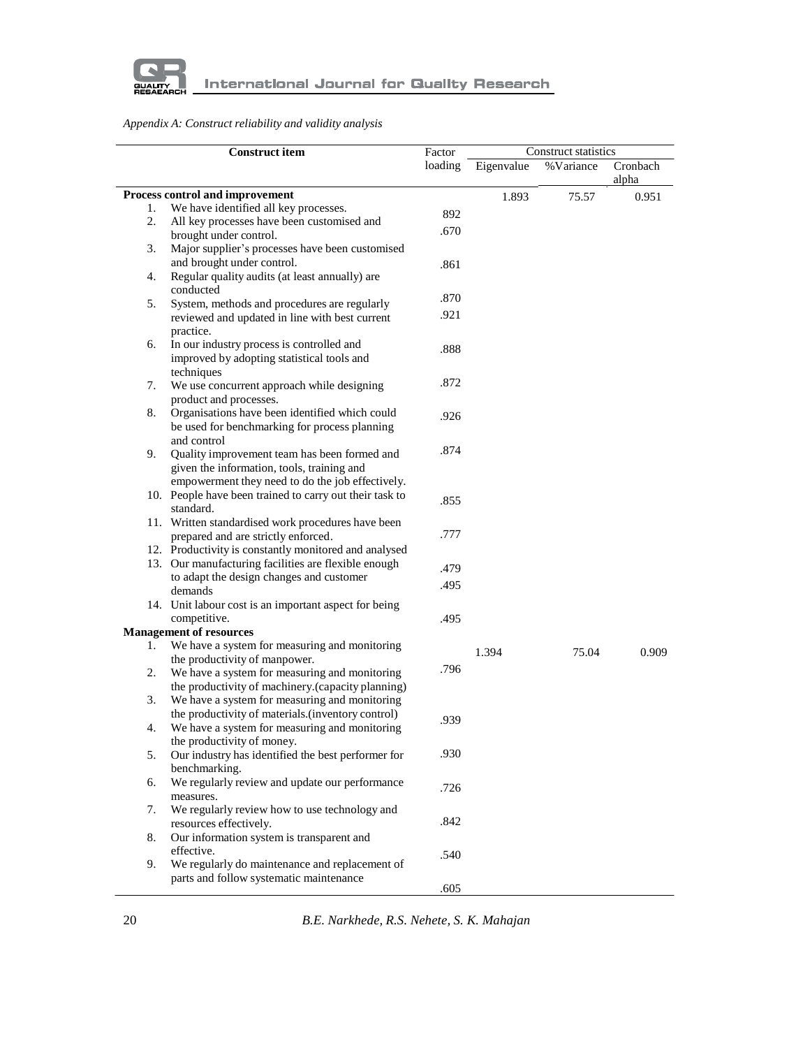

# *Appendix A: Construct reliability and validity analysis*

|    | <b>Construct item</b>                                                         |         | Construct statistics<br>Factor |           |          |
|----|-------------------------------------------------------------------------------|---------|--------------------------------|-----------|----------|
|    |                                                                               | loading | Eigenvalue                     | %Variance | Cronbach |
|    |                                                                               |         |                                |           | alpha    |
|    | Process control and improvement                                               |         | 1.893                          | 75.57     | 0.951    |
| 1. | We have identified all key processes.                                         | 892     |                                |           |          |
| 2. | All key processes have been customised and                                    | .670    |                                |           |          |
|    | brought under control.                                                        |         |                                |           |          |
| 3. | Major supplier's processes have been customised<br>and brought under control. |         |                                |           |          |
| 4. | Regular quality audits (at least annually) are                                | .861    |                                |           |          |
|    | conducted                                                                     | .870    |                                |           |          |
| 5. | System, methods and procedures are regularly                                  |         |                                |           |          |
|    | reviewed and updated in line with best current<br>practice.                   | .921    |                                |           |          |
| 6. | In our industry process is controlled and                                     | .888    |                                |           |          |
|    | improved by adopting statistical tools and                                    |         |                                |           |          |
|    | techniques                                                                    |         |                                |           |          |
| 7. | We use concurrent approach while designing                                    | .872    |                                |           |          |
|    | product and processes.                                                        |         |                                |           |          |
| 8. | Organisations have been identified which could                                | .926    |                                |           |          |
|    | be used for benchmarking for process planning                                 |         |                                |           |          |
|    | and control                                                                   | .874    |                                |           |          |
| 9. | Quality improvement team has been formed and                                  |         |                                |           |          |
|    | given the information, tools, training and                                    |         |                                |           |          |
|    | empowerment they need to do the job effectively.                              |         |                                |           |          |
|    | 10. People have been trained to carry out their task to<br>standard.          | .855    |                                |           |          |
|    | 11. Written standardised work procedures have been                            |         |                                |           |          |
|    | prepared and are strictly enforced.                                           | .777    |                                |           |          |
|    | 12. Productivity is constantly monitored and analysed                         |         |                                |           |          |
|    | 13. Our manufacturing facilities are flexible enough                          | .479    |                                |           |          |
|    | to adapt the design changes and customer                                      |         |                                |           |          |
|    | demands                                                                       | .495    |                                |           |          |
|    | 14. Unit labour cost is an important aspect for being                         |         |                                |           |          |
|    | competitive.                                                                  | .495    |                                |           |          |
|    | <b>Management of resources</b>                                                |         |                                |           |          |
| 1. | We have a system for measuring and monitoring                                 |         | 1.394                          | 75.04     | 0.909    |
|    | the productivity of manpower.                                                 | .796    |                                |           |          |
| 2. | We have a system for measuring and monitoring                                 |         |                                |           |          |
|    | the productivity of machinery.(capacity planning)                             |         |                                |           |          |
| 3. | We have a system for measuring and monitoring                                 |         |                                |           |          |
|    | the productivity of materials.(inventory control)                             | .939    |                                |           |          |
| 4. | We have a system for measuring and monitoring<br>the productivity of money.   |         |                                |           |          |
| 5. | Our industry has identified the best performer for                            | .930    |                                |           |          |
|    | benchmarking.                                                                 |         |                                |           |          |
| 6. | We regularly review and update our performance                                |         |                                |           |          |
|    | measures.                                                                     | .726    |                                |           |          |
| 7. | We regularly review how to use technology and                                 |         |                                |           |          |
|    | resources effectively.                                                        | .842    |                                |           |          |
| 8. | Our information system is transparent and                                     |         |                                |           |          |
|    | effective.                                                                    | .540    |                                |           |          |
| 9. | We regularly do maintenance and replacement of                                |         |                                |           |          |
|    | parts and follow systematic maintenance                                       |         |                                |           |          |
|    |                                                                               | .605    |                                |           |          |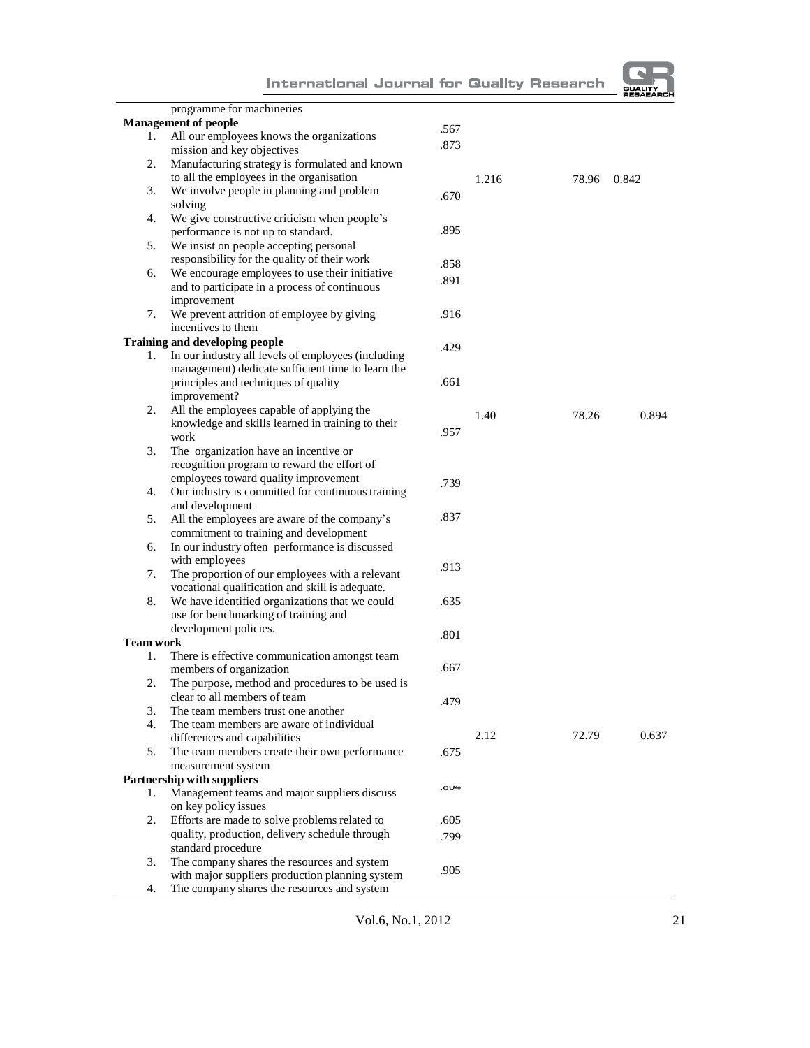|                  |                                                    |      |       |       | <b>RESAEARCI</b> |
|------------------|----------------------------------------------------|------|-------|-------|------------------|
|                  | programme for machineries                          |      |       |       |                  |
|                  | <b>Management of people</b>                        | .567 |       |       |                  |
| 1.               | All our employees knows the organizations          |      |       |       |                  |
|                  | mission and key objectives                         | .873 |       |       |                  |
| 2.               | Manufacturing strategy is formulated and known     |      |       |       |                  |
|                  | to all the employees in the organisation           |      | 1.216 | 78.96 | 0.842            |
| 3.               | We involve people in planning and problem          | .670 |       |       |                  |
|                  | solving                                            |      |       |       |                  |
| 4.               | We give constructive criticism when people's       |      |       |       |                  |
|                  | performance is not up to standard.                 | .895 |       |       |                  |
| 5.               | We insist on people accepting personal             |      |       |       |                  |
|                  | responsibility for the quality of their work       | .858 |       |       |                  |
| 6.               | We encourage employees to use their initiative     |      |       |       |                  |
|                  | and to participate in a process of continuous      | .891 |       |       |                  |
|                  | improvement                                        |      |       |       |                  |
| 7.               | We prevent attrition of employee by giving         | .916 |       |       |                  |
|                  | incentives to them                                 |      |       |       |                  |
|                  | <b>Training and developing people</b>              |      |       |       |                  |
| 1.               | In our industry all levels of employees (including | .429 |       |       |                  |
|                  | management) dedicate sufficient time to learn the  |      |       |       |                  |
|                  | principles and techniques of quality               | .661 |       |       |                  |
|                  | improvement?                                       |      |       |       |                  |
| 2.               | All the employees capable of applying the          |      |       |       |                  |
|                  | knowledge and skills learned in training to their  |      | 1.40  | 78.26 | 0.894            |
|                  | work                                               | .957 |       |       |                  |
| 3.               | The organization have an incentive or              |      |       |       |                  |
|                  | recognition program to reward the effort of        |      |       |       |                  |
|                  |                                                    |      |       |       |                  |
|                  | employees toward quality improvement               | .739 |       |       |                  |
| 4.               | Our industry is committed for continuous training  |      |       |       |                  |
|                  | and development                                    | .837 |       |       |                  |
| 5.               | All the employees are aware of the company's       |      |       |       |                  |
|                  | commitment to training and development             |      |       |       |                  |
| 6.               | In our industry often performance is discussed     |      |       |       |                  |
|                  | with employees                                     | .913 |       |       |                  |
| 7.               | The proportion of our employees with a relevant    |      |       |       |                  |
|                  | vocational qualification and skill is adequate.    |      |       |       |                  |
| 8.               | We have identified organizations that we could     | .635 |       |       |                  |
|                  | use for benchmarking of training and               |      |       |       |                  |
|                  | development policies.                              | .801 |       |       |                  |
| <b>Team work</b> |                                                    |      |       |       |                  |
| 1.               | There is effective communication amongst team      |      |       |       |                  |
|                  | members of organization                            | .667 |       |       |                  |
| 2.               | The purpose, method and procedures to be used is   |      |       |       |                  |
|                  | clear to all members of team                       | 479  |       |       |                  |
| 3.               | The team members trust one another                 |      |       |       |                  |
| 4.               | The team members are aware of individual           |      |       |       |                  |
|                  | differences and capabilities                       |      | 2.12  | 72.79 | 0.637            |
| 5.               | The team members create their own performance      | .675 |       |       |                  |
|                  | measurement system                                 |      |       |       |                  |
|                  | <b>Partnership with suppliers</b>                  |      |       |       |                  |
| 1.               | Management teams and major suppliers discuss       | .004 |       |       |                  |
|                  | on key policy issues                               |      |       |       |                  |
| 2.               | Efforts are made to solve problems related to      | .605 |       |       |                  |
|                  | quality, production, delivery schedule through     | .799 |       |       |                  |
|                  | standard procedure                                 |      |       |       |                  |
| 3.               | The company shares the resources and system        |      |       |       |                  |
|                  | with major suppliers production planning system    | .905 |       |       |                  |
| 4.               | The company shares the resources and system        |      |       |       |                  |

Vol.6, No.1, 201